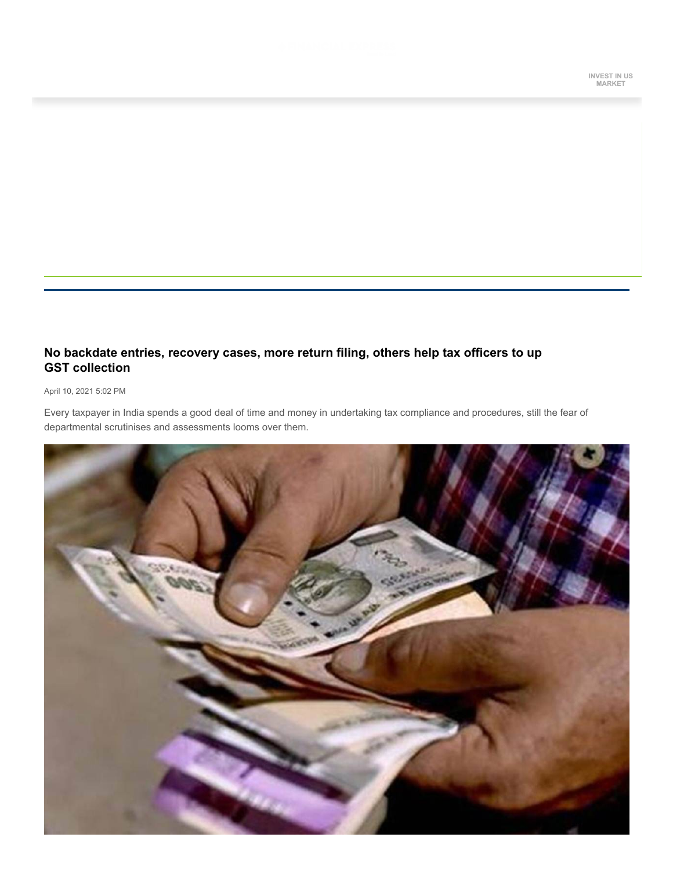# **No backdate entries, recovery cases, more return filing, others help tax officers to up GST collection**

### April 10, 2021 5:02 PM

Every taxpayer in India spends a good deal of time and money in undertaking tax compliance and procedures, still the fear of departmental scrutinises and assessments looms over them.

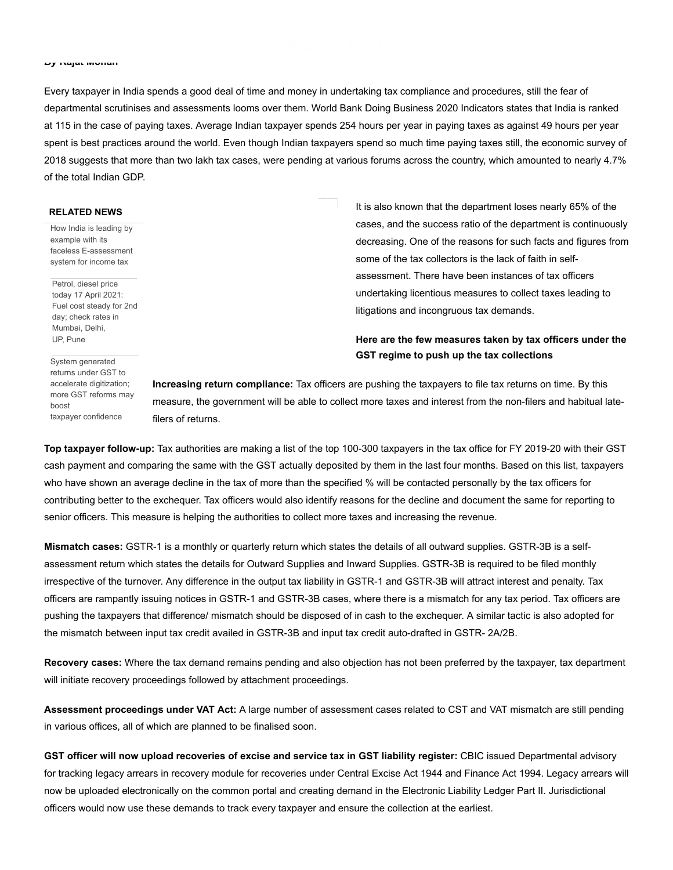#### *By* **Rajat Mohan**

Every taxpayer in India spends a good deal of time and money in undertaking tax compliance and procedures, still the fear of departmental scrutinises and assessments looms over them. World Bank Doing Business 2020 Indicators states that India is ranked at 115 in the case of paying taxes. Average Indian taxpayer spends 254 hours per year in paying taxes as against 49 hours per year spent is best practices around the world. Even though Indian taxpayers spend so much time paying taxes still, the economic survey of 2018 suggests that more than two lakh tax cases, were pending at various forums across the country, which amounted to nearly 4.7% of the total Indian GDP.

### **RELATED NEWS**

How India is leading by example with its [faceless E-assessment](https://www.financialexpress.com/economy/how-india-is-leading-by-example-with-its-faceless-e-assessment-system-for-income-tax/2247824/) system for income tax

Petrol, diesel price today 17 April 2021: [Fuel cost steady for 2nd](https://www.financialexpress.com/market/commodities/petrol-diesel-price-today-17-april-2021-fuel-cost-steady-for-2nd-day-check-rates-in-mumbai-delhi-up-pune/2234859/) day; check rates in Mumbai, Delhi, UP, Pune

System generated returns under GST to accelerate digitization; [more GST reforms may](https://www.financialexpress.com/economy/system-generated-returns-under-gst-to-accelerate-digitization-more-gst-reforms-may-boost-taxpayer-confidence/2230504/) boost taxpayer confidence

It is also known that the department loses nearly 65% of the cases, and the success ratio of the department is continuously decreasing. One of the reasons for such facts and figures from some of the tax collectors is the lack of faith in selfassessment. There have been instances of tax officers undertaking licentious measures to collect taxes leading to litigations and incongruous tax demands.

## **Here are the few measures taken by tax officers under the GST regime to push up the tax collections**

**Increasing return compliance:** Tax officers are pushing the taxpayers to file tax returns on time. By this measure, the government will be able to collect more taxes and interest from the non-filers and habitual latefilers of returns.

**Top taxpayer follow-up:** Tax authorities are making a list of the top 100-300 taxpayers in the tax office for FY 2019-20 with their GST cash payment and comparing the same with the GST actually deposited by them in the last four months. Based on this list, taxpayers who have shown an average decline in the tax of more than the specified % will be contacted personally by the tax officers for contributing better to the exchequer. Tax officers would also identify reasons for the decline and document the same for reporting to senior officers. This measure is helping the authorities to collect more taxes and increasing the revenue.

**Mismatch cases:** GSTR-1 is a monthly or quarterly return which states the details of all outward supplies. GSTR-3B is a selfassessment return which states the details for Outward Supplies and Inward Supplies. GSTR-3B is required to be filed monthly irrespective of the turnover. Any difference in the output tax liability in GSTR-1 and GSTR-3B will attract interest and penalty. Tax officers are rampantly issuing notices in GSTR-1 and GSTR-3B cases, where there is a mismatch for any tax period. Tax officers are pushing the taxpayers that difference/ mismatch should be disposed of in cash to the exchequer. A similar tactic is also adopted for the mismatch between input tax credit availed in GSTR-3B and input tax credit auto-drafted in GSTR- 2A/2B.

**Recovery cases:** Where the tax demand remains pending and also objection has not been preferred by the taxpayer, tax department will initiate recovery proceedings followed by attachment proceedings.

**Assessment proceedings under VAT Act:** A large number of assessment cases related to CST and VAT mismatch are still pending in various offices, all of which are planned to be finalised soon.

**GST officer will now upload recoveries of excise and service tax in GST liability register:** CBIC issued Departmental advisory for tracking legacy arrears in recovery module for recoveries under Central Excise Act 1944 and Finance Act 1994. Legacy arrears will now be uploaded electronically on the common portal and creating demand in the Electronic Liability Ledger Part II. Jurisdictional officers would now use these demands to track every taxpayer and ensure the collection at the earliest.